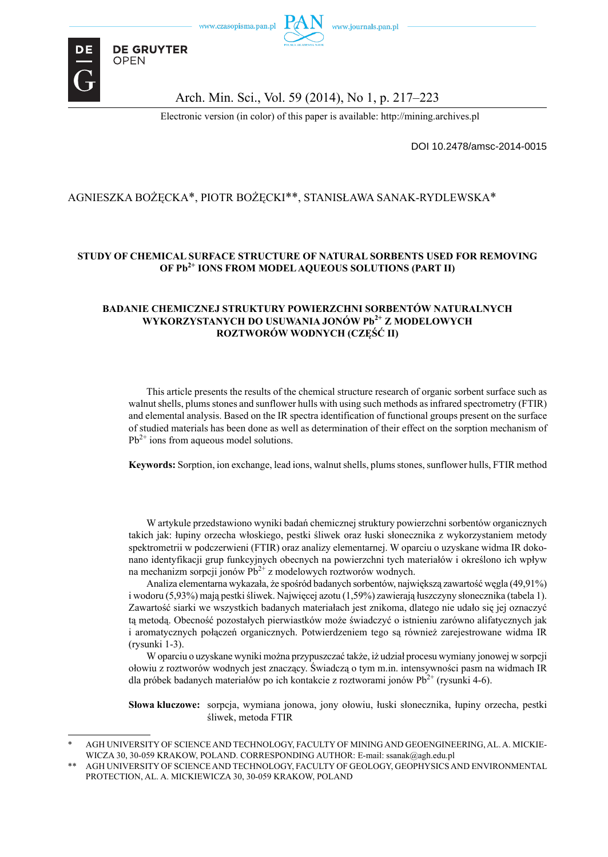

**DE GRUYTER** 

**OPEN** 

#### Arch. Min. Sci., Vol. 59 (2014), No 1, p. 217–223

Electronic version (in color) of this paper is available: http://mining.archives.pl

DOI 10.2478/amsc-2014-0015

### AGNIESZKA BOŻĘCKA\*, PIOTR BOŻĘCKI\*\*, STANISŁAWA SANAK-RYDLEWSKA\*

#### **STUDY OF CHEMICAL SURFACE STRUCTURE OF NATURAL SORBENTS USED FOR REMOVING OF Pb2+ IONS FROM MODEL AQUEOUS SOLUTIONS (PART II)**

#### **BADANIE CHEMICZNEJ STRUKTURY POWIERZCHNI SORBENTÓW NATURALNYCH WYKORZYSTANYCH DO USUWANIA JONÓW Pb2+ Z MODELOWYCH ROZTWORÓW WODNYCH (CZĘŚĆ II)**

This article presents the results of the chemical structure research of organic sorbent surface such as walnut shells, plums stones and sunflower hulls with using such methods as infrared spectrometry (FTIR) and elemental analysis. Based on the IR spectra identification of functional groups present on the surface of studied materials has been done as well as determination of their effect on the sorption mechanism of  $Pb^{2+}$  ions from aqueous model solutions.

**Keywords:** Sorption, ion exchange, lead ions, walnut shells, plums stones, sunflower hulls, FTIR method

W artykule przedstawiono wyniki badań chemicznej struktury powierzchni sorbentów organicznych takich jak: łupiny orzecha włoskiego, pestki śliwek oraz łuski słonecznika z wykorzystaniem metody spektrometrii w podczerwieni (FTIR) oraz analizy elementarnej. W oparciu o uzyskane widma IR dokonano identyfikacji grup funkcyjnych obecnych na powierzchni tych materiałów i określono ich wpływ na mechanizm sorpcji jonów  $Pb^{2+}$  z modelowych roztworów wodnych.

Analiza elementarna wykazała, że spośród badanych sorbentów, największą zawartość węgla (49,91%) i wodoru (5,93%) mają pestki śliwek. Najwięcej azotu (1,59%) zawierają łuszczyny słonecznika (tabela 1). Zawartość siarki we wszystkich badanych materiałach jest znikoma, dlatego nie udało się jej oznaczyć tą metodą. Obecność pozostałych pierwiastków może świadczyć o istnieniu zarówno alifatycznych jak i aromatycznych połączeń organicznych. Potwierdzeniem tego są również zarejestrowane widma IR (rysunki 1-3).

W oparciu o uzyskane wyniki można przypuszczać także, iż udział procesu wymiany jonowej w sorpcji ołowiu z roztworów wodnych jest znaczący. Świadczą o tym m.in. intensywności pasm na widmach IR dla próbek badanych materiałów po ich kontakcie z roztworami jonów  $Pb^{2+}$  (rysunki 4-6).

**Słowa kluczowe:** sorpcja, wymiana jonowa, jony ołowiu, łuski słonecznika, łupiny orzecha, pestki śliwek, metoda FTIR

AGH UNIVERSITY OF SCIENCE AND TECHNOLOGY, FACULTY OF MINING AND GEOENGINEERING, AL. A. MICKIE-WICZA 30, 30-059 KRAKOW, POLAND. CORRESPONDING AUTHOR: E-mail: ssanak@agh.edu.pl

AGH UNIVERSITY OF SCIENCE AND TECHNOLOGY, FACULTY OF GEOLOGY, GEOPHYSICS AND ENVIRONMENTAL PROTECTION, AL. A. MICKIEWICZA 30, 30-059 KRAKOW, POLAND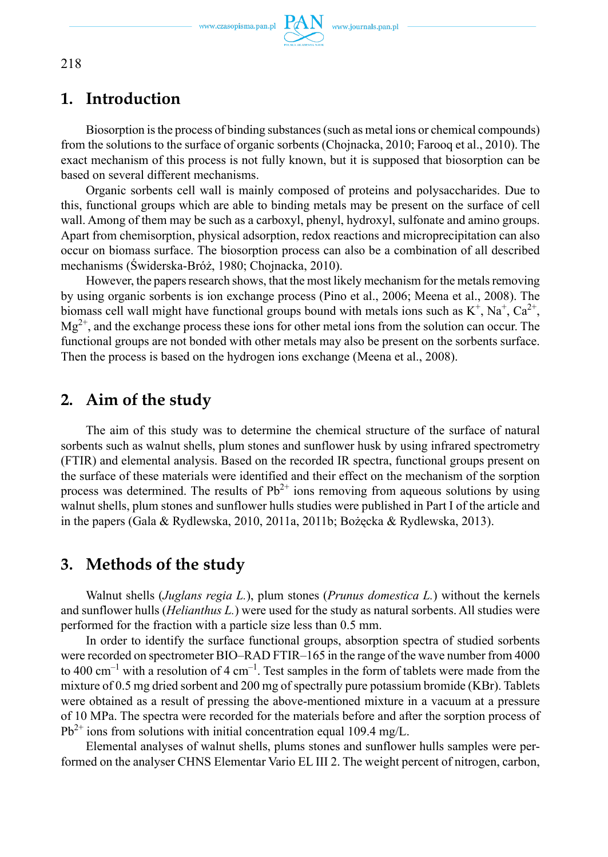www.czasopisma.pan.pl  $PAN$  www.journals.pan.pl



## **1. Introduction**

Biosorption is the process of binding substances (such as metal ions or chemical compounds) from the solutions to the surface of organic sorbents (Chojnacka, 2010; Farooq et al., 2010). The exact mechanism of this process is not fully known, but it is supposed that biosorption can be based on several different mechanisms.

Organic sorbents cell wall is mainly composed of proteins and polysaccharides. Due to this, functional groups which are able to binding metals may be present on the surface of cell wall. Among of them may be such as a carboxyl, phenyl, hydroxyl, sulfonate and amino groups. Apart from chemisorption, physical adsorption, redox reactions and microprecipitation can also occur on biomass surface. The biosorption process can also be a combination of all described mechanisms (Świderska-Bróż, 1980; Chojnacka, 2010).

However, the papers research shows, that the most likely mechanism for the metals removing by using organic sorbents is ion exchange process (Pino et al., 2006; Meena et al., 2008). The biomass cell wall might have functional groups bound with metals ions such as  $K^+$ ,  $Na^+$ ,  $Ca^{2+}$ ,  $Mg^{2+}$ , and the exchange process these ions for other metal ions from the solution can occur. The functional groups are not bonded with other metals may also be present on the sorbents surface. Then the process is based on the hydrogen ions exchange (Meena et al., 2008).

# **2. Aim of the study**

The aim of this study was to determine the chemical structure of the surface of natural sorbents such as walnut shells, plum stones and sunflower husk by using infrared spectrometry (FTIR) and elemental analysis. Based on the recorded IR spectra, functional groups present on the surface of these materials were identified and their effect on the mechanism of the sorption process was determined. The results of  $Pb^{2+}$  ions removing from aqueous solutions by using walnut shells, plum stones and sunflower hulls studies were published in Part I of the article and in the papers (Gala & Rydlewska, 2010, 2011a, 2011b; Bożęcka & Rydlewska, 2013).

### **3. Methods of the study**

Walnut shells (*Juglans regia L.*), plum stones (*Prunus domestica L.*) without the kernels and sunflower hulls (*Helianthus L.*) were used for the study as natural sorbents. All studies were performed for the fraction with a particle size less than 0.5 mm.

In order to identify the surface functional groups, absorption spectra of studied sorbents were recorded on spectrometer BIO–RAD FTIR–165 in the range of the wave number from 4000 to 400 cm<sup>-1</sup> with a resolution of 4 cm<sup>-1</sup>. Test samples in the form of tablets were made from the mixture of 0.5 mg dried sorbent and 200 mg of spectrally pure potassium bromide (KBr). Tablets were obtained as a result of pressing the above-mentioned mixture in a vacuum at a pressure of 10 MPa. The spectra were recorded for the materials before and after the sorption process of  $Pb^{2+}$  ions from solutions with initial concentration equal 109.4 mg/L.

Elemental analyses of walnut shells, plums stones and sunflower hulls samples were performed on the analyser CHNS Elementar Vario EL III 2. The weight percent of nitrogen, carbon,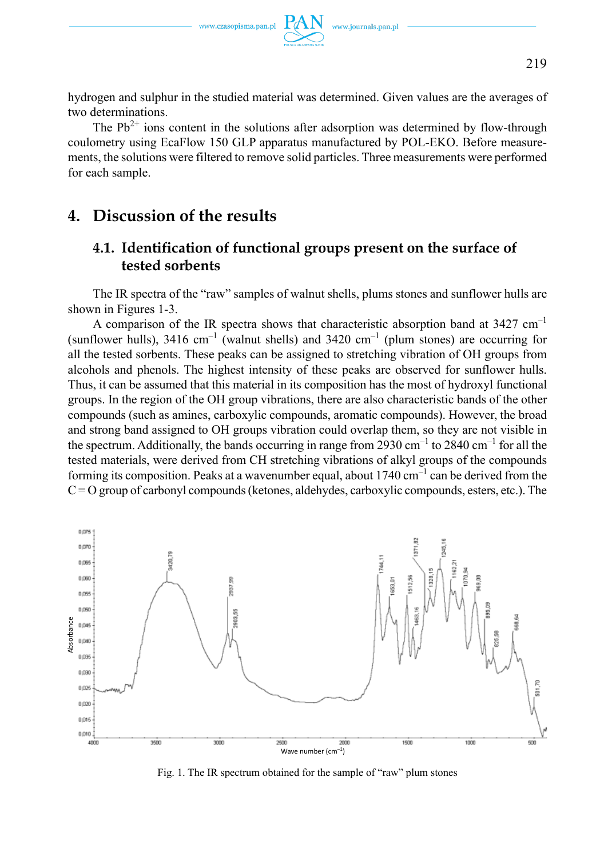hydrogen and sulphur in the studied material was determined. Given values are the averages of two determinations.

The  $Pb^{2+}$  ions content in the solutions after adsorption was determined by flow-through coulometry using EcaFlow 150 GLP apparatus manufactured by POL-EKO. Before measurements, the solutions were filtered to remove solid particles. Three measurements were performed for each sample.

# **4. Discussion of the results**

# **4.1. Identification of functional groups present on the surface of tested sorbents**

The IR spectra of the "raw" samples of walnut shells, plums stones and sunflower hulls are shown in Figures 1-3.

A comparison of the IR spectra shows that characteristic absorption band at  $3427 \text{ cm}^{-1}$ (sunflower hulls), 3416 cm<sup>-1</sup> (walnut shells) and 3420 cm<sup>-1</sup> (plum stones) are occurring for all the tested sorbents. These peaks can be assigned to stretching vibration of OH groups from alcohols and phenols. The highest intensity of these peaks are observed for sunflower hulls. Thus, it can be assumed that this material in its composition has the most of hydroxyl functional groups. In the region of the OH group vibrations, there are also characteristic bands of the other compounds (such as amines, carboxylic compounds, aromatic compounds). However, the broad and strong band assigned to OH groups vibration could overlap them, so they are not visible in the spectrum. Additionally, the bands occurring in range from 2930 cm–1 to 2840 cm–1 for all the tested materials, were derived from CH stretching vibrations of alkyl groups of the compounds forming its composition. Peaks at a wavenumber equal, about  $1740 \text{ cm}^{-1}$  can be derived from the  $C = O$  group of carbonyl compounds (ketones, aldehydes, carboxylic compounds, esters, etc.). The



Fig. 1. The IR spectrum obtained for the sample of "raw" plum stones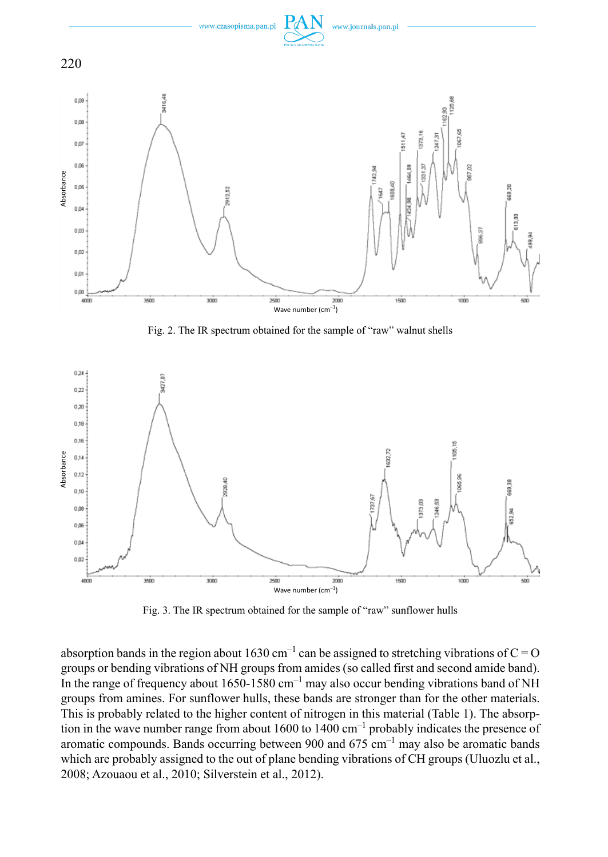

Fig. 2. The IR spectrum obtained for the sample of "raw" walnut shells



Fig. 3. The IR spectrum obtained for the sample of "raw" sunflower hulls

absorption bands in the region about 1630 cm<sup>-1</sup> can be assigned to stretching vibrations of  $C = O$ groups or bending vibrations of NH groups from amides (so called first and second amide band). In the range of frequency about  $1650-1580$  cm<sup>-1</sup> may also occur bending vibrations band of NH groups from amines. For sunflower hulls, these bands are stronger than for the other materials. This is probably related to the higher content of nitrogen in this material (Table 1). The absorption in the wave number range from about 1600 to 1400 cm–1 probably indicates the presence of aromatic compounds. Bands occurring between 900 and  $675 \text{ cm}^{-1}$  may also be aromatic bands which are probably assigned to the out of plane bending vibrations of CH groups (Uluozlu et al., 2008; Azouaou et al., 2010; Silverstein et al., 2012).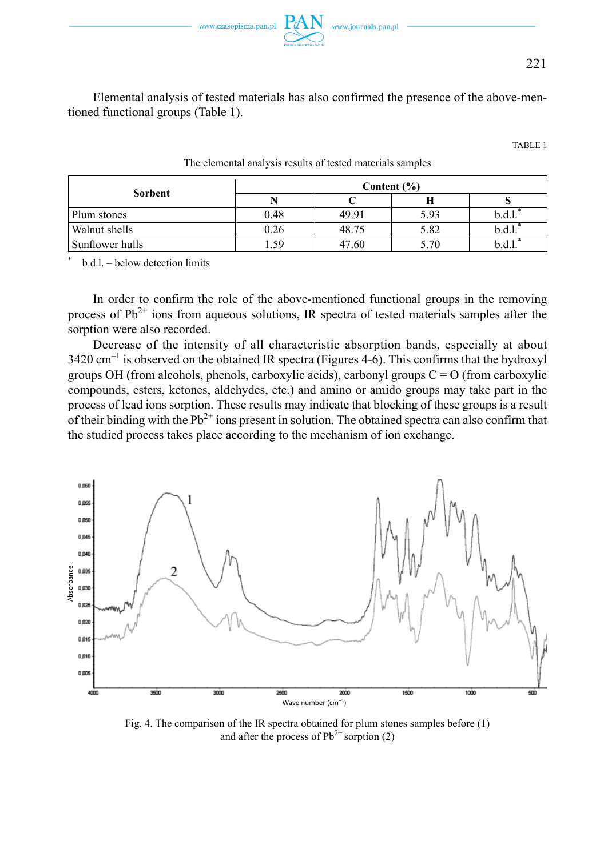

221

Elemental analysis of tested materials has also confirmed the presence of the above-mentioned functional groups (Table 1).

TABLE 1

| Sorbent         |      | Content $(\% )$ |      |  |  |
|-----------------|------|-----------------|------|--|--|
|                 |      |                 |      |  |  |
| Plum stones     | 0.48 | 49.91           | 5.93 |  |  |
| Walnut shells   | 0.26 | 48.75           | 5.82 |  |  |
| Sunflower hulls | l.59 | 47.60           | 5.70 |  |  |

The elemental analysis results of tested materials samples

\* b.d.l. – below detection limits

In order to confirm the role of the above-mentioned functional groups in the removing process of  $Pb^{2+}$  ions from aqueous solutions, IR spectra of tested materials samples after the sorption were also recorded.

Decrease of the intensity of all characteristic absorption bands, especially at about  $3420 \text{ cm}^{-1}$  is observed on the obtained IR spectra (Figures 4-6). This confirms that the hydroxyl groups OH (from alcohols, phenols, carboxylic acids), carbonyl groups  $C = O$  (from carboxylic compounds, esters, ketones, aldehydes, etc.) and amino or amido groups may take part in the process of lead ions sorption. These results may indicate that blocking of these groups is a result of their binding with the  $Pb^{2+}$  ions present in solution. The obtained spectra can also confirm that the studied process takes place according to the mechanism of ion exchange.



Fig. 4. The comparison of the IR spectra obtained for plum stones samples before (1) and after the process of  $Pb^{2+}$  sorption (2)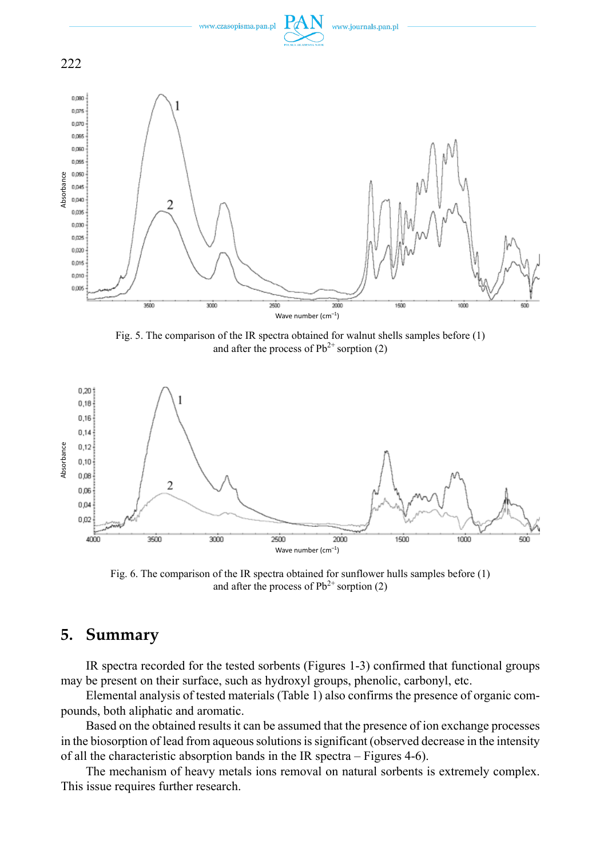

Fig. 5. The comparison of the IR spectra obtained for walnut shells samples before (1) and after the process of  $Pb^{2+}$  sorption (2)



Fig. 6. The comparison of the IR spectra obtained for sunflower hulls samples before (1) and after the process of  $Pb^{2+}$  sorption (2)

## **5. Summary**

IR spectra recorded for the tested sorbents (Figures 1-3) confirmed that functional groups may be present on their surface, such as hydroxyl groups, phenolic, carbonyl, etc.

Elemental analysis of tested materials (Table 1) also confirms the presence of organic compounds, both aliphatic and aromatic.

Based on the obtained results it can be assumed that the presence of ion exchange processes in the biosorption of lead from aqueous solutions is significant (observed decrease in the intensity of all the characteristic absorption bands in the IR spectra – Figures 4-6).

The mechanism of heavy metals ions removal on natural sorbents is extremely complex. This issue requires further research.